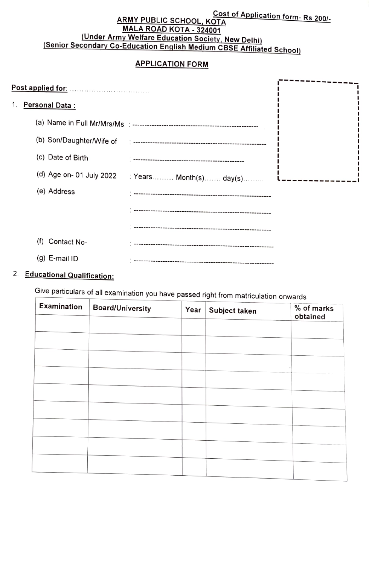# **ARMY PUBLIC SCHOOL, KOTA** Cost of Application form- Rs 200/-MALA ROAD KOTA - 324001<br>(Under Army Welfare Education Society, New Delhi)

## (Senior Secondary Co-Education English Medium CBSE Affiliated School)

#### APPLICATION FORM

| 1. | <b>Personal Data:</b> |                                                  |  |
|----|-----------------------|--------------------------------------------------|--|
|    |                       |                                                  |  |
|    |                       |                                                  |  |
|    | (c) Date of Birth     |                                                  |  |
|    |                       | (d) Age on- 01 July 2022 : Years Month(s) day(s) |  |
|    | (e) Address           |                                                  |  |
|    |                       |                                                  |  |
|    |                       |                                                  |  |
|    | (f)<br>Contact No-    |                                                  |  |
|    | (g) E-mail ID         |                                                  |  |

### 2. Educational Qualification:

Give particulars of all examination you have passed right from matriculation onwards

| Examination | <b>Board/University</b> | Year | Subject taken | % of marks<br>obtained |
|-------------|-------------------------|------|---------------|------------------------|
|             |                         |      |               |                        |
|             |                         |      |               |                        |
|             |                         |      |               |                        |
|             |                         |      |               |                        |
|             |                         |      |               |                        |
|             |                         |      |               |                        |
|             |                         |      |               |                        |
|             |                         |      |               |                        |
|             |                         |      |               |                        |